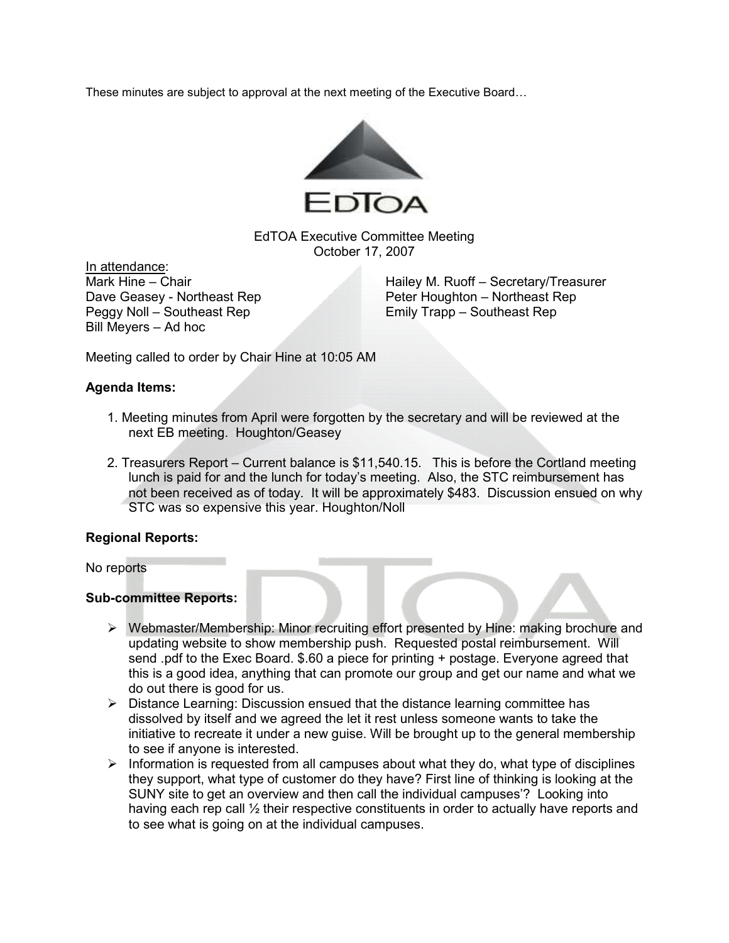These minutes are subject to approval at the next meeting of the Executive Board…



EdTOA Executive Committee Meeting October 17, 2007

In attendance:<br>Mark Hine – Chair Peggy Noll – Southeast Rep Emily Trapp – Southeast Rep Bill Meyers – Ad hoc

Hailey M. Ruoff – Secretary/Treasurer Dave Geasey - Northeast Rep Peter Houghton – Northeast Rep

Meeting called to order by Chair Hine at 10:05 AM

# Agenda Items:

- 1. Meeting minutes from April were forgotten by the secretary and will be reviewed at the next EB meeting. Houghton/Geasey
- 2. Treasurers Report Current balance is \$11,540.15. This is before the Cortland meeting lunch is paid for and the lunch for today's meeting. Also, the STC reimbursement has not been received as of today. It will be approximately \$483. Discussion ensued on why STC was so expensive this year. Houghton/Noll

## Regional Reports:

No reports

## Sub-committee Reports:

- Webmaster/Membership: Minor recruiting effort presented by Hine: making brochure and updating website to show membership push. Requested postal reimbursement. Will send .pdf to the Exec Board. \$.60 a piece for printing + postage. Everyone agreed that this is a good idea, anything that can promote our group and get our name and what we do out there is good for us.
- $\triangleright$  Distance Learning: Discussion ensued that the distance learning committee has dissolved by itself and we agreed the let it rest unless someone wants to take the initiative to recreate it under a new guise. Will be brought up to the general membership to see if anyone is interested.
- $\triangleright$  Information is requested from all campuses about what they do, what type of disciplines they support, what type of customer do they have? First line of thinking is looking at the SUNY site to get an overview and then call the individual campuses'? Looking into having each rep call  $\frac{1}{2}$  their respective constituents in order to actually have reports and to see what is going on at the individual campuses.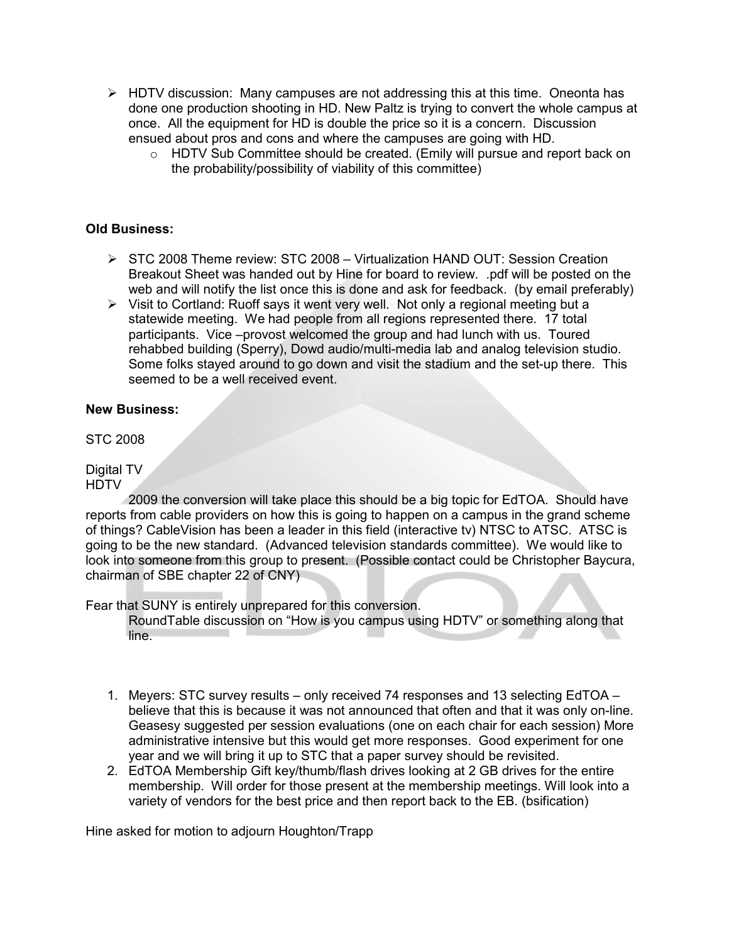- $\triangleright$  HDTV discussion: Many campuses are not addressing this at this time. Oneonta has done one production shooting in HD. New Paltz is trying to convert the whole campus at once. All the equipment for HD is double the price so it is a concern. Discussion ensued about pros and cons and where the campuses are going with HD.
	- o HDTV Sub Committee should be created. (Emily will pursue and report back on the probability/possibility of viability of this committee)

# Old Business:

- $\triangleright$  STC 2008 Theme review: STC 2008 Virtualization HAND OUT: Session Creation Breakout Sheet was handed out by Hine for board to review. .pdf will be posted on the web and will notify the list once this is done and ask for feedback. (by email preferably)
- $\triangleright$  Visit to Cortland: Ruoff says it went very well. Not only a regional meeting but a statewide meeting. We had people from all regions represented there. 17 total participants. Vice –provost welcomed the group and had lunch with us. Toured rehabbed building (Sperry), Dowd audio/multi-media lab and analog television studio. Some folks stayed around to go down and visit the stadium and the set-up there. This seemed to be a well received event.

# New Business:

STC 2008

#### Digital TV **HDTV**

 2009 the conversion will take place this should be a big topic for EdTOA. Should have reports from cable providers on how this is going to happen on a campus in the grand scheme of things? CableVision has been a leader in this field (interactive tv) NTSC to ATSC. ATSC is going to be the new standard. (Advanced television standards committee). We would like to look into someone from this group to present. (Possible contact could be Christopher Baycura, chairman of SBE chapter 22 of CNY)

Fear that SUNY is entirely unprepared for this conversion.

RoundTable discussion on "How is you campus using HDTV" or something along that line.

- 1. Meyers: STC survey results only received 74 responses and 13 selecting EdTOA believe that this is because it was not announced that often and that it was only on-line. Geasesy suggested per session evaluations (one on each chair for each session) More administrative intensive but this would get more responses. Good experiment for one year and we will bring it up to STC that a paper survey should be revisited.
- 2. EdTOA Membership Gift key/thumb/flash drives looking at 2 GB drives for the entire membership. Will order for those present at the membership meetings. Will look into a variety of vendors for the best price and then report back to the EB. (bsification)

Hine asked for motion to adjourn Houghton/Trapp